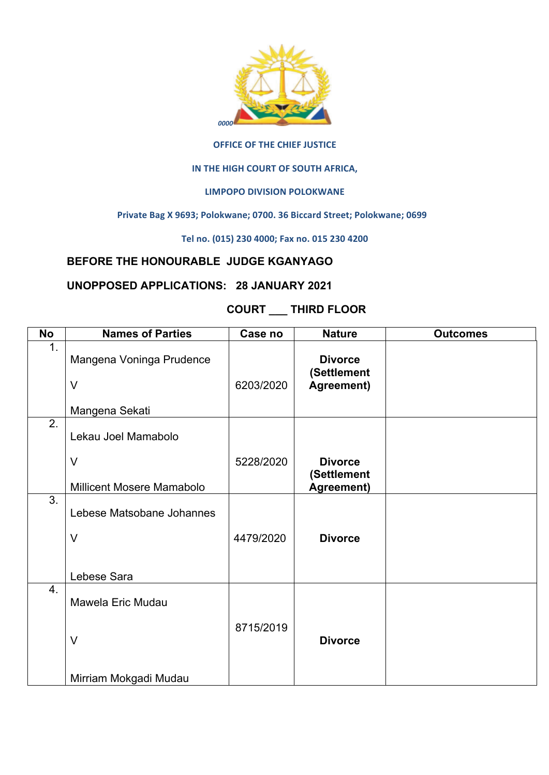

#### **OFFICE OF THE CHIEF JUSTICE**

## **IN THE HIGH COURT OF SOUTH AFRICA,**

## LIMPOPO DIVISION POLOKWANE

#### Private Bag X 9693; Polokwane; 0700. 36 Biccard Street; Polokwane; 0699

**Tel no. (015) 230 4000; Fax no. 015 230 4200**

# **BEFORE THE HONOURABLE JUDGE KGANYAGO**

## **UNOPPOSED APPLICATIONS: 28 JANUARY 2021**

# **COURT \_\_\_ THIRD FLOOR**

| <b>No</b>     | <b>Names of Parties</b>   | Case no   | <b>Nature</b>                 | <b>Outcomes</b> |
|---------------|---------------------------|-----------|-------------------------------|-----------------|
| $\mathbf 1$ . | Mangena Voninga Prudence  |           | <b>Divorce</b><br>(Settlement |                 |
|               | $\vee$                    | 6203/2020 | Agreement)                    |                 |
|               | Mangena Sekati            |           |                               |                 |
| 2.            | Lekau Joel Mamabolo       |           |                               |                 |
|               | $\vee$                    | 5228/2020 | <b>Divorce</b><br>(Settlement |                 |
|               | Millicent Mosere Mamabolo |           | Agreement)                    |                 |
| 3.            | Lebese Matsobane Johannes |           |                               |                 |
|               | $\vee$                    | 4479/2020 | <b>Divorce</b>                |                 |
|               | Lebese Sara               |           |                               |                 |
| 4.            | Mawela Eric Mudau         |           |                               |                 |
|               | $\vee$                    | 8715/2019 | <b>Divorce</b>                |                 |
|               | Mirriam Mokgadi Mudau     |           |                               |                 |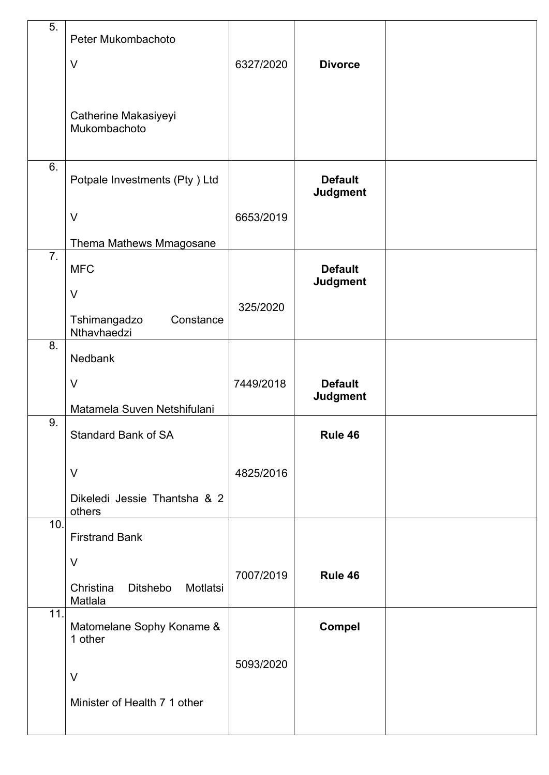| 5.               | Peter Mukombachoto                                  |           |                                   |  |
|------------------|-----------------------------------------------------|-----------|-----------------------------------|--|
|                  | $\vee$                                              | 6327/2020 | <b>Divorce</b>                    |  |
|                  |                                                     |           |                                   |  |
|                  | Catherine Makasiyeyi<br>Mukombachoto                |           |                                   |  |
| 6.               |                                                     |           |                                   |  |
|                  | Potpale Investments (Pty) Ltd                       |           | <b>Default</b><br><b>Judgment</b> |  |
|                  | $\vee$                                              | 6653/2019 |                                   |  |
|                  | Thema Mathews Mmagosane                             |           |                                   |  |
| $\overline{7}$ . | <b>MFC</b>                                          |           | <b>Default</b><br><b>Judgment</b> |  |
|                  | $\vee$                                              | 325/2020  |                                   |  |
|                  | Tshimangadzo<br>Constance<br>Nthavhaedzi            |           |                                   |  |
| 8.               | Nedbank                                             |           |                                   |  |
|                  | $\vee$                                              | 7449/2018 | <b>Default</b>                    |  |
|                  | Matamela Suven Netshifulani                         |           | <b>Judgment</b>                   |  |
| 9.               | <b>Standard Bank of SA</b>                          |           | Rule 46                           |  |
|                  | $\vee$                                              | 4825/2016 |                                   |  |
|                  | Dikeledi Jessie Thantsha & 2<br>others              |           |                                   |  |
| 10.              | <b>Firstrand Bank</b>                               |           |                                   |  |
|                  | $\vee$                                              |           |                                   |  |
|                  | Christina<br><b>Ditshebo</b><br>Motlatsi<br>Matlala | 7007/2019 | Rule 46                           |  |
| 11.              | Matomelane Sophy Koname &                           |           | <b>Compel</b>                     |  |
|                  | 1 other                                             | 5093/2020 |                                   |  |
|                  | $\vee$                                              |           |                                   |  |
|                  | Minister of Health 7 1 other                        |           |                                   |  |
|                  |                                                     |           |                                   |  |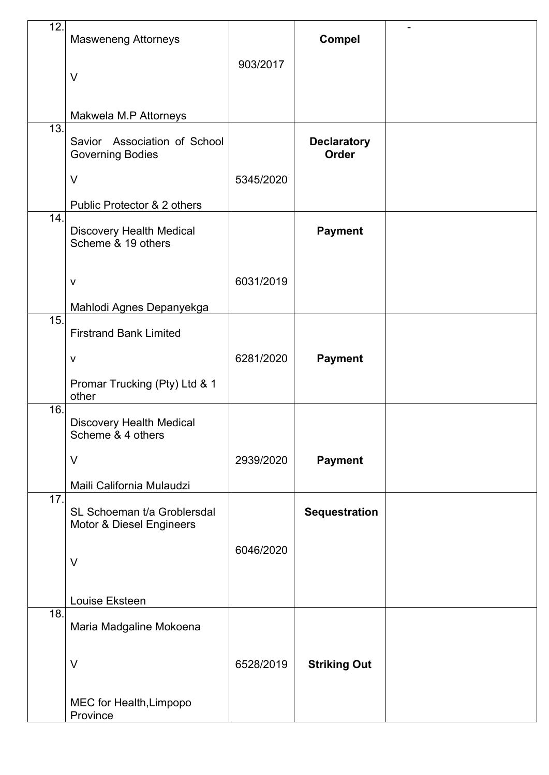| 12.               | <b>Masweneng Attorneys</b>                              |           | <b>Compel</b>                      |  |
|-------------------|---------------------------------------------------------|-----------|------------------------------------|--|
|                   | $\vee$                                                  | 903/2017  |                                    |  |
|                   |                                                         |           |                                    |  |
|                   | Makwela M.P Attorneys                                   |           |                                    |  |
| $\overline{13}$ . | Savior Association of School<br><b>Governing Bodies</b> |           | <b>Declaratory</b><br><b>Order</b> |  |
|                   | $\vee$                                                  | 5345/2020 |                                    |  |
|                   | Public Protector & 2 others                             |           |                                    |  |
| 14.               | <b>Discovery Health Medical</b><br>Scheme & 19 others   |           | <b>Payment</b>                     |  |
|                   | $\mathsf{V}$                                            | 6031/2019 |                                    |  |
|                   | Mahlodi Agnes Depanyekga                                |           |                                    |  |
| 15.               | <b>Firstrand Bank Limited</b>                           |           |                                    |  |
|                   | $\mathsf{V}$                                            | 6281/2020 | <b>Payment</b>                     |  |
|                   | Promar Trucking (Pty) Ltd & 1<br>other                  |           |                                    |  |
| 16.               | <b>Discovery Health Medical</b><br>Scheme & 4 others    |           |                                    |  |
|                   | $\vee$                                                  | 2939/2020 | <b>Payment</b>                     |  |
|                   | Maili California Mulaudzi                               |           |                                    |  |
| 17.               | SL Schoeman t/a Groblersdal<br>Motor & Diesel Engineers |           | <b>Sequestration</b>               |  |
|                   | $\vee$                                                  | 6046/2020 |                                    |  |
|                   | Louise Eksteen                                          |           |                                    |  |
| 18.               | Maria Madgaline Mokoena                                 |           |                                    |  |
|                   | $\vee$                                                  | 6528/2019 | <b>Striking Out</b>                |  |
|                   | MEC for Health, Limpopo<br>Province                     |           |                                    |  |